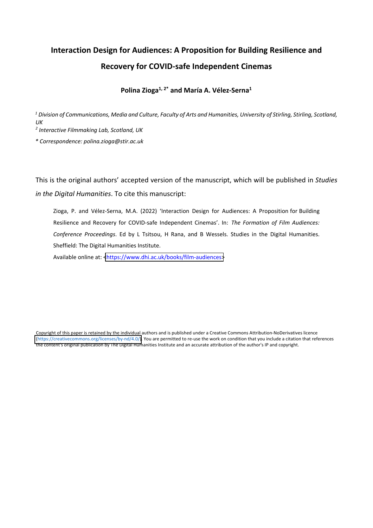## **Interaction Design for Audiences: A Proposition for Building Resilience and Recovery for COVID-safe Independent Cinemas**

## **Polina Zioga1, 2\* and María A. Vélez-Serna1**

*<sup>1</sup> Division of Communications, Media and Culture, Faculty of Arts and Humanities, University of Stirling, Stirling, Scotland, UK*

*<sup>2</sup> Interactive Filmmaking Lab, Scotland, UK*

*\* Correspondence: polina.zioga@stir.ac.uk*

This is the original authors' accepted version of the manuscript, which will be published in *Studies in the Digital Humanities*. To cite this manuscript:

Zioga, P. and Vélez-Serna, M.A. (2022) 'Interaction Design for Audiences: A Proposition for Building Resilience and Recovery for COVID-safe Independent Cinemas'. In: *The Formation of Film Audiences: Conference Proceedings*. Ed by L Tsitsou, H Rana, and B Wessels. Studies in the Digital Humanities. Sheffield: The Digital Humanities Institute.

Available online at: [<https://www.dhi.ac.uk/books/film-audiences>](https://www.dhi.ac.uk/books/film-audiences)

Copyright of this paper is retained by the individual authors and is published under a Creative Commons Attribution-NoDerivatives licence [\(https://creativecommons.org/licenses/by-nd/4.0/\).](https://creativecommons.org/licenses/by-nd/4.0/) You are permitted to re-use the work on condition that you include a citation that references the content's original publication by The Digital Humanities Institute and an accurate attribution of the author's IP and copyright.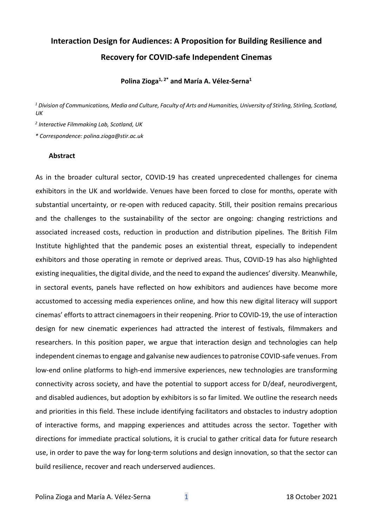# **Interaction Design for Audiences: A Proposition for Building Resilience and Recovery for COVID-safe Independent Cinemas**

**Polina Zioga1, 2\* and María A. Vélez-Serna1**

*<sup>1</sup> Division of Communications, Media and Culture, Faculty of Arts and Humanities, University of Stirling, Stirling, Scotland, UK*

*<sup>2</sup> Interactive Filmmaking Lab, Scotland, UK*

*\* Correspondence: polina.zioga@stir.ac.uk*

#### **Abstract**

As in the broader cultural sector, COVID-19 has created unprecedented challenges for cinema exhibitors in the UK and worldwide. Venues have been forced to close for months, operate with substantial uncertainty, or re-open with reduced capacity. Still, their position remains precarious and the challenges to the sustainability of the sector are ongoing: changing restrictions and associated increased costs, reduction in production and distribution pipelines. The British Film Institute highlighted that the pandemic poses an existential threat, especially to independent exhibitors and those operating in remote or deprived areas. Thus, COVID-19 has also highlighted existing inequalities, the digital divide, and the need to expand the audiences' diversity. Meanwhile, in sectoral events, panels have reflected on how exhibitors and audiences have become more accustomed to accessing media experiences online, and how this new digital literacy will support cinemas' efforts to attract cinemagoers in their reopening. Prior to COVID-19, the use of interaction design for new cinematic experiences had attracted the interest of festivals, filmmakers and researchers. In this position paper, we argue that interaction design and technologies can help independent cinemas to engage and galvanise new audiences to patronise COVID-safe venues. From low-end online platforms to high-end immersive experiences, new technologies are transforming connectivity across society, and have the potential to support access for D/deaf, neurodivergent, and disabled audiences, but adoption by exhibitors is so far limited. We outline the research needs and priorities in this field. These include identifying facilitators and obstacles to industry adoption of interactive forms, and mapping experiences and attitudes across the sector. Together with directions for immediate practical solutions, it is crucial to gather critical data for future research use, in order to pave the way for long-term solutions and design innovation, so that the sector can build resilience, recover and reach underserved audiences.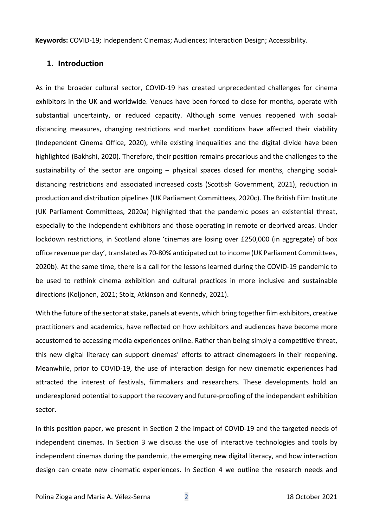**Keywords:** COVID-19; Independent Cinemas; Audiences; Interaction Design; Accessibility.

## **1. Introduction**

As in the broader cultural sector, COVID-19 has created unprecedented challenges for cinema exhibitors in the UK and worldwide. Venues have been forced to close for months, operate with substantial uncertainty, or reduced capacity. Although some venues reopened with socialdistancing measures, changing restrictions and market conditions have affected their viability (Independent Cinema Office, 2020), while existing inequalities and the digital divide have been highlighted (Bakhshi, 2020). Therefore, their position remains precarious and the challenges to the sustainability of the sector are ongoing – physical spaces closed for months, changing socialdistancing restrictions and associated increased costs (Scottish Government, 2021), reduction in production and distribution pipelines (UK Parliament Committees, 2020c). The British Film Institute (UK Parliament Committees, 2020a) highlighted that the pandemic poses an existential threat, especially to the independent exhibitors and those operating in remote or deprived areas. Under lockdown restrictions, in Scotland alone 'cinemas are losing over £250,000 (in aggregate) of box office revenue per day', translated as 70-80% anticipated cut to income (UK Parliament Committees, 2020b). At the same time, there is a call for the lessons learned during the COVID-19 pandemic to be used to rethink cinema exhibition and cultural practices in more inclusive and sustainable directions (Koljonen, 2021; Stolz, Atkinson and Kennedy, 2021).

With the future of the sector at stake, panels at events, which bring together film exhibitors, creative practitioners and academics, have reflected on how exhibitors and audiences have become more accustomed to accessing media experiences online. Rather than being simply a competitive threat, this new digital literacy can support cinemas' efforts to attract cinemagoers in their reopening. Meanwhile, prior to COVID-19, the use of interaction design for new cinematic experiences had attracted the interest of festivals, filmmakers and researchers. These developments hold an underexplored potential to support the recovery and future-proofing of the independent exhibition sector.

In this position paper, we present in Section 2 the impact of COVID-19 and the targeted needs of independent cinemas. In Section 3 we discuss the use of interactive technologies and tools by independent cinemas during the pandemic, the emerging new digital literacy, and how interaction design can create new cinematic experiences. In Section 4 we outline the research needs and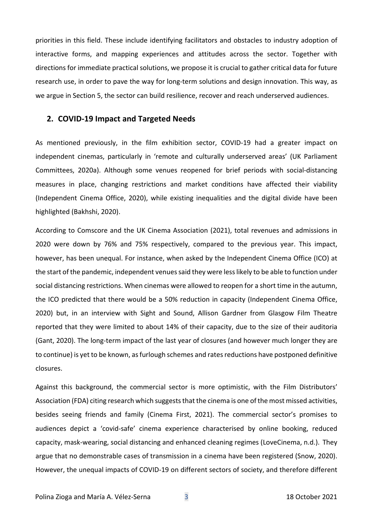priorities in this field. These include identifying facilitators and obstacles to industry adoption of interactive forms, and mapping experiences and attitudes across the sector. Together with directions for immediate practical solutions, we propose it is crucial to gather critical data for future research use, in order to pave the way for long-term solutions and design innovation. This way, as we argue in Section 5, the sector can build resilience, recover and reach underserved audiences.

#### **2. COVID-19 Impact and Targeted Needs**

As mentioned previously, in the film exhibition sector, COVID-19 had a greater impact on independent cinemas, particularly in 'remote and culturally underserved areas' (UK Parliament Committees, 2020a). Although some venues reopened for brief periods with social-distancing measures in place, changing restrictions and market conditions have affected their viability (Independent Cinema Office, 2020), while existing inequalities and the digital divide have been highlighted (Bakhshi, 2020).

According to Comscore and the UK Cinema Association (2021), total revenues and admissions in 2020 were down by 76% and 75% respectively, compared to the previous year. This impact, however, has been unequal. For instance, when asked by the Independent Cinema Office (ICO) at the start of the pandemic, independent venues said they were less likely to be able to function under social distancing restrictions. When cinemas were allowed to reopen for a short time in the autumn, the ICO predicted that there would be a 50% reduction in capacity (Independent Cinema Office, 2020) but, in an interview with Sight and Sound, Allison Gardner from Glasgow Film Theatre reported that they were limited to about 14% of their capacity, due to the size of their auditoria (Gant, 2020). The long-term impact of the last year of closures (and however much longer they are to continue) is yet to be known, as furlough schemes and rates reductions have postponed definitive closures.

Against this background, the commercial sector is more optimistic, with the Film Distributors' Association (FDA) citing research which suggests that the cinema is one of the most missed activities, besides seeing friends and family (Cinema First, 2021). The commercial sector's promises to audiences depict a 'covid-safe' cinema experience characterised by online booking, reduced capacity, mask-wearing, social distancing and enhanced cleaning regimes (LoveCinema, n.d.). They argue that no demonstrable cases of transmission in a cinema have been registered (Snow, 2020). However, the unequal impacts of COVID-19 on different sectors of society, and therefore different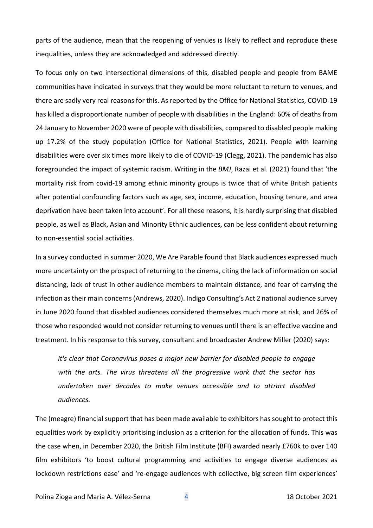parts of the audience, mean that the reopening of venues is likely to reflect and reproduce these inequalities, unless they are acknowledged and addressed directly.

To focus only on two intersectional dimensions of this, disabled people and people from BAME communities have indicated in surveys that they would be more reluctant to return to venues, and there are sadly very real reasons for this. As reported by the Office for National Statistics, COVID-19 has killed a disproportionate number of people with disabilities in the England: 60% of deaths from 24 January to November 2020 were of people with disabilities, compared to disabled people making up 17.2% of the study population (Office for National Statistics, 2021). People with learning disabilities were over six times more likely to die of COVID-19 (Clegg, 2021). The pandemic has also foregrounded the impact of systemic racism. Writing in the *BMJ*, Razai et al. (2021) found that 'the mortality risk from covid-19 among ethnic minority groups is twice that of white British patients after potential confounding factors such as age, sex, income, education, housing tenure, and area deprivation have been taken into account'. For all these reasons, it is hardly surprising that disabled people, as well as Black, Asian and Minority Ethnic audiences, can be less confident about returning to non-essential social activities.

In a survey conducted in summer 2020, We Are Parable found that Black audiences expressed much more uncertainty on the prospect of returning to the cinema, citing the lack of information on social distancing, lack of trust in other audience members to maintain distance, and fear of carrying the infection as their main concerns (Andrews, 2020). Indigo Consulting's Act 2 national audience survey in June 2020 found that disabled audiences considered themselves much more at risk, and 26% of those who responded would not consider returning to venues until there is an effective vaccine and treatment. In his response to this survey, consultant and broadcaster Andrew Miller (2020) says:

*it's clear that Coronavirus poses a major new barrier for disabled people to engage with the arts. The virus threatens all the progressive work that the sector has undertaken over decades to make venues accessible and to attract disabled audiences.*

The (meagre) financial support that has been made available to exhibitors has sought to protect this equalities work by explicitly prioritising inclusion as a criterion for the allocation of funds. This was the case when, in December 2020, the British Film Institute (BFI) awarded nearly £760k to over 140 film exhibitors 'to boost cultural programming and activities to engage diverse audiences as lockdown restrictions ease' and 're-engage audiences with collective, big screen film experiences'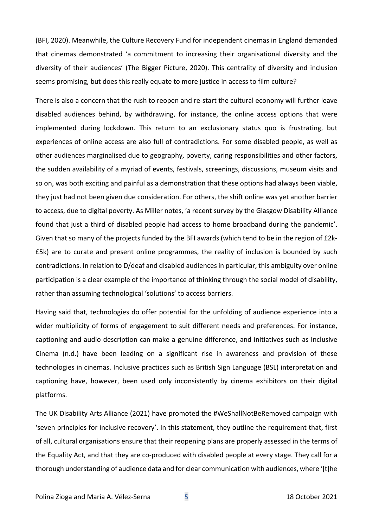(BFI, 2020). Meanwhile, the Culture Recovery Fund for independent cinemas in England demanded that cinemas demonstrated 'a commitment to increasing their organisational diversity and the diversity of their audiences' (The Bigger Picture, 2020). This centrality of diversity and inclusion seems promising, but does this really equate to more justice in access to film culture?

There is also a concern that the rush to reopen and re-start the cultural economy will further leave disabled audiences behind, by withdrawing, for instance, the online access options that were implemented during lockdown. This return to an exclusionary status quo is frustrating, but experiences of online access are also full of contradictions. For some disabled people, as well as other audiences marginalised due to geography, poverty, caring responsibilities and other factors, the sudden availability of a myriad of events, festivals, screenings, discussions, museum visits and so on, was both exciting and painful as a demonstration that these options had always been viable, they just had not been given due consideration. For others, the shift online was yet another barrier to access, due to digital poverty. As Miller notes, 'a recent survey by the Glasgow Disability Alliance found that just a third of disabled people had access to home broadband during the pandemic'. Given that so many of the projects funded by the BFI awards (which tend to be in the region of £2k- £5k) are to curate and present online programmes, the reality of inclusion is bounded by such contradictions. In relation to D/deaf and disabled audiences in particular, this ambiguity over online participation is a clear example of the importance of thinking through the social model of disability, rather than assuming technological 'solutions' to access barriers.

Having said that, technologies do offer potential for the unfolding of audience experience into a wider multiplicity of forms of engagement to suit different needs and preferences. For instance, captioning and audio description can make a genuine difference, and initiatives such as Inclusive Cinema (n.d.) have been leading on a significant rise in awareness and provision of these technologies in cinemas. Inclusive practices such as British Sign Language (BSL) interpretation and captioning have, however, been used only inconsistently by cinema exhibitors on their digital platforms.

The UK Disability Arts Alliance (2021) have promoted the #WeShallNotBeRemoved campaign with 'seven principles for inclusive recovery'. In this statement, they outline the requirement that, first of all, cultural organisations ensure that their reopening plans are properly assessed in the terms of the Equality Act, and that they are co-produced with disabled people at every stage. They call for a thorough understanding of audience data and for clear communication with audiences, where '[t]he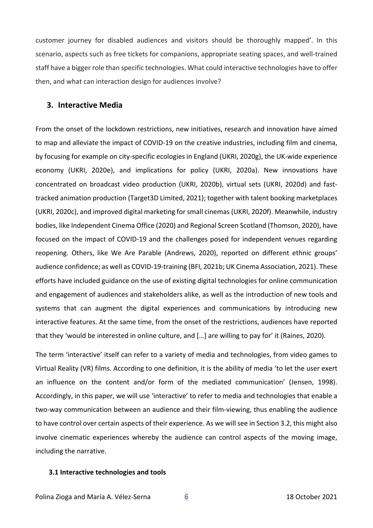customer journey for disabled audiences and visitors should be thoroughly mapped'. In this scenario, aspects such as free tickets for companions, appropriate seating spaces, and well-trained staff have a bigger role than specific technologies. What could interactive technologies have to offer then, and what can interaction design for audiences involve?

## **3. Interactive Media**

From the onset of the lockdown restrictions, new initiatives, research and innovation have aimed to map and alleviate the impact of COVID-19 on the creative industries, including film and cinema, by focusing for example on city-specific ecologies in England (UKRI, 2020g), the UK-wide experience economy (UKRI, 2020e), and implications for policy (UKRI, 2020a). New innovations have concentrated on broadcast video production (UKRI, 2020b), virtual sets (UKRI, 2020d) and fasttracked animation production (Target3D Limited, 2021); together with talent booking marketplaces (UKRI, 2020c), and improved digital marketing for small cinemas (UKRI, 2020f). Meanwhile, industry bodies, like Independent Cinema Office (2020) and Regional Screen Scotland (Thomson, 2020), have focused on the impact of COVID-19 and the challenges posed for independent venues regarding reopening. Others, like We Are Parable (Andrews, 2020), reported on different ethnic groups' audience confidence; as well as COVID-19-training (BFI, 2021b; UK Cinema Association, 2021). These efforts have included guidance on the use of existing digital technologies for online communication and engagement of audiences and stakeholders alike, as well as the introduction of new tools and systems that can augment the digital experiences and communications by introducing new interactive features. At the same time, from the onset of the restrictions, audiences have reported that they 'would be interested in online culture, and […] are willing to pay for' it (Raines, 2020).

The term 'interactive' itself can refer to a variety of media and technologies, from video games to Virtual Reality (VR) films. According to one definition, it is the ability of media 'to let the user exert an influence on the content and/or form of the mediated communication' (Jensen, 1998). Accordingly, in this paper, we will use 'interactive' to refer to media and technologies that enable a two-way communication between an audience and their film-viewing, thus enabling the audience to have control over certain aspects of their experience. As we will see in Section 3.2, this might also involve cinematic experiences whereby the audience can control aspects of the moving image, including the narrative.

#### **3.1 Interactive technologies and tools**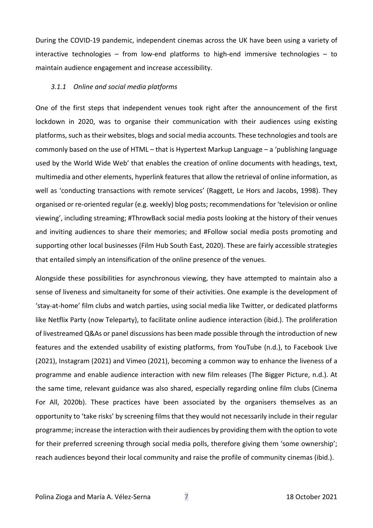During the COVID-19 pandemic, independent cinemas across the UK have been using a variety of interactive technologies – from low-end platforms to high-end immersive technologies – to maintain audience engagement and increase accessibility.

#### *3.1.1 Online and social media platforms*

One of the first steps that independent venues took right after the announcement of the first lockdown in 2020, was to organise their communication with their audiences using existing platforms, such as their websites, blogs and social media accounts. These technologies and tools are commonly based on the use of HTML – that is Hypertext Markup Language – a 'publishing language used by the World Wide Web' that enables the creation of online documents with headings, text, multimedia and other elements, hyperlink features that allow the retrieval of online information, as well as 'conducting transactions with remote services' (Raggett, Le Hors and Jacobs, 1998). They organised or re-oriented regular (e.g. weekly) blog posts; recommendations for 'television or online viewing', including streaming; #ThrowBack social media posts looking at the history of their venues and inviting audiences to share their memories; and #Follow social media posts promoting and supporting other local businesses (Film Hub South East, 2020). These are fairly accessible strategies that entailed simply an intensification of the online presence of the venues.

Alongside these possibilities for asynchronous viewing, they have attempted to maintain also a sense of liveness and simultaneity for some of their activities. One example is the development of 'stay-at-home' film clubs and watch parties, using social media like Twitter, or dedicated platforms like Netflix Party (now Teleparty), to facilitate online audience interaction (ibid.). The proliferation of livestreamed Q&As or panel discussions has been made possible through the introduction of new features and the extended usability of existing platforms, from YouTube (n.d.), to Facebook Live (2021), Instagram (2021) and Vimeo (2021), becoming a common way to enhance the liveness of a programme and enable audience interaction with new film releases (The Bigger Picture, n.d.). At the same time, relevant guidance was also shared, especially regarding online film clubs (Cinema For All, 2020b). These practices have been associated by the organisers themselves as an opportunity to 'take risks' by screening films that they would not necessarily include in their regular programme; increase the interaction with their audiences by providing them with the option to vote for their preferred screening through social media polls, therefore giving them 'some ownership'; reach audiences beyond their local community and raise the profile of community cinemas (ibid.).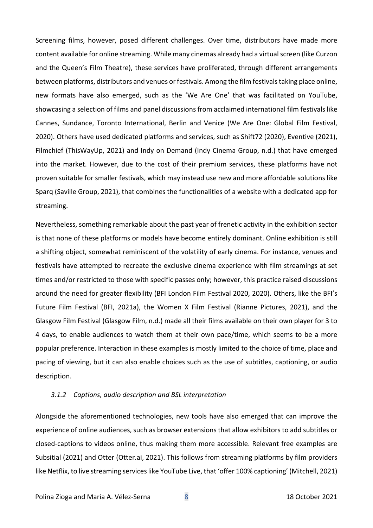Screening films, however, posed different challenges. Over time, distributors have made more content available for online streaming. While many cinemas already had a virtual screen (like Curzon and the Queen's Film Theatre), these services have proliferated, through different arrangements between platforms, distributors and venues or festivals. Among the film festivals taking place online, new formats have also emerged, such as the 'We Are One' that was facilitated on YouTube, showcasing a selection of films and panel discussions from acclaimed international film festivals like Cannes, Sundance, Toronto International, Berlin and Venice (We Are One: Global Film Festival, 2020). Others have used dedicated platforms and services, such as Shift72 (2020), Eventive (2021), Filmchief (ThisWayUp, 2021) and Indy on Demand (Indy Cinema Group, n.d.) that have emerged into the market. However, due to the cost of their premium services, these platforms have not proven suitable for smaller festivals, which may instead use new and more affordable solutions like Sparq (Saville Group, 2021), that combines the functionalities of a website with a dedicated app for streaming.

Nevertheless, something remarkable about the past year of frenetic activity in the exhibition sector is that none of these platforms or models have become entirely dominant. Online exhibition is still a shifting object, somewhat reminiscent of the volatility of early cinema. For instance, venues and festivals have attempted to recreate the exclusive cinema experience with film streamings at set times and/or restricted to those with specific passes only; however, this practice raised discussions around the need for greater flexibility (BFI London Film Festival 2020, 2020). Others, like the BFI's Future Film Festival (BFI, 2021a), the Women X Film Festival (Rianne Pictures, 2021), and the Glasgow Film Festival (Glasgow Film, n.d.) made all their films available on their own player for 3 to 4 days, to enable audiences to watch them at their own pace/time, which seems to be a more popular preference. Interaction in these examples is mostly limited to the choice of time, place and pacing of viewing, but it can also enable choices such as the use of subtitles, captioning, or audio description.

#### *3.1.2 Captions, audio description and BSL interpretation*

Alongside the aforementioned technologies, new tools have also emerged that can improve the experience of online audiences, such as browser extensions that allow exhibitors to add subtitles or closed-captions to videos online, thus making them more accessible. Relevant free examples are Subsitial (2021) and Otter (Otter.ai, 2021). This follows from streaming platforms by film providers like Netflix, to live streaming services like YouTube Live, that 'offer 100% captioning' (Mitchell, 2021)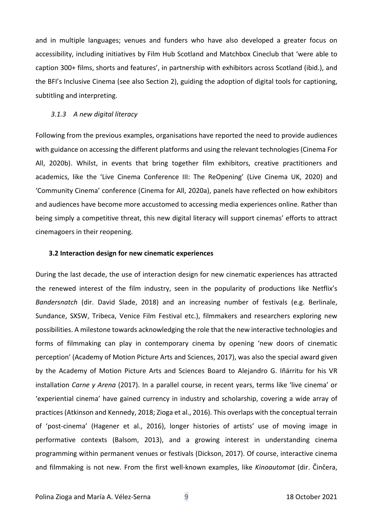and in multiple languages; venues and funders who have also developed a greater focus on accessibility, including initiatives by Film Hub Scotland and Matchbox Cineclub that 'were able to caption 300+ films, shorts and features', in partnership with exhibitors across Scotland (ibid.), and the BFI's Inclusive Cinema (see also Section 2), guiding the adoption of digital tools for captioning, subtitling and interpreting.

#### *3.1.3 A new digital literacy*

Following from the previous examples, organisations have reported the need to provide audiences with guidance on accessing the different platforms and using the relevant technologies (Cinema For All, 2020b). Whilst, in events that bring together film exhibitors, creative practitioners and academics, like the 'Live Cinema Conference III: The ReOpening' (Live Cinema UK, 2020) and 'Community Cinema' conference (Cinema for All, 2020a), panels have reflected on how exhibitors and audiences have become more accustomed to accessing media experiences online. Rather than being simply a competitive threat, this new digital literacy will support cinemas' efforts to attract cinemagoers in their reopening.

#### **3.2 Interaction design for new cinematic experiences**

During the last decade, the use of interaction design for new cinematic experiences has attracted the renewed interest of the film industry, seen in the popularity of productions like Netflix's *Bandersnatch* (dir. David Slade, 2018) and an increasing number of festivals (e.g. Berlinale, Sundance, SXSW, Tribeca, Venice Film Festival etc.), filmmakers and researchers exploring new possibilities. A milestone towards acknowledging the role that the new interactive technologies and forms of filmmaking can play in contemporary cinema by opening 'new doors of cinematic perception' (Academy of Motion Picture Arts and Sciences, 2017), was also the special award given by the Academy of Motion Picture Arts and Sciences Board to Alejandro G. Iñárritu for his VR installation *Carne y Arena* (2017). In a parallel course, in recent years, terms like 'live cinema' or 'experiential cinema' have gained currency in industry and scholarship, covering a wide array of practices (Atkinson and Kennedy, 2018; Zioga et al., 2016). This overlaps with the conceptual terrain of 'post-cinema' (Hagener et al., 2016), longer histories of artists' use of moving image in performative contexts (Balsom, 2013), and a growing interest in understanding cinema programming within permanent venues or festivals (Dickson, 2017). Of course, interactive cinema and filmmaking is not new. From the first well-known examples, like *Kinoautomat* (dir. Činčera,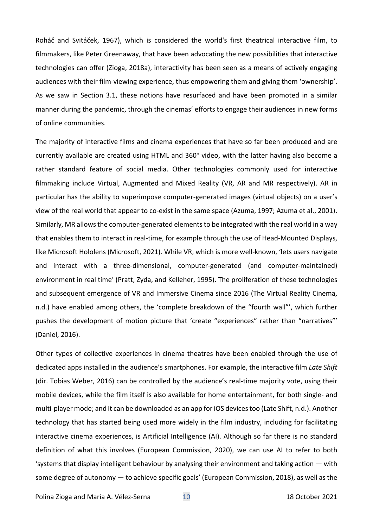Roháč and Svitáček, 1967), which is considered the world's first theatrical interactive film, to filmmakers, like Peter Greenaway, that have been advocating the new possibilities that interactive technologies can offer (Zioga, 2018a), interactivity has been seen as a means of actively engaging audiences with their film-viewing experience, thus empowering them and giving them 'ownership'. As we saw in Section 3.1, these notions have resurfaced and have been promoted in a similar manner during the pandemic, through the cinemas' efforts to engage their audiences in new forms of online communities.

The majority of interactive films and cinema experiences that have so far been produced and are currently available are created using HTML and 360° video, with the latter having also become a rather standard feature of social media. Other technologies commonly used for interactive filmmaking include Virtual, Augmented and Mixed Reality (VR, AR and MR respectively). AR in particular has the ability to superimpose computer-generated images (virtual objects) on a user's view of the real world that appear to co-exist in the same space (Azuma, 1997; Azuma et al., 2001). Similarly, MR allows the computer-generated elements to be integrated with the real world in a way that enables them to interact in real-time, for example through the use of Head-Mounted Displays, like Microsoft Hololens (Microsoft, 2021). While VR, which is more well-known, 'lets users navigate and interact with a three-dimensional, computer-generated (and computer-maintained) environment in real time' (Pratt, Zyda, and Kelleher, 1995). The proliferation of these technologies and subsequent emergence of VR and Immersive Cinema since 2016 (The Virtual Reality Cinema, n.d.) have enabled among others, the 'complete breakdown of the "fourth wall"', which further pushes the development of motion picture that 'create "experiences" rather than "narratives"' (Daniel, 2016).

Other types of collective experiences in cinema theatres have been enabled through the use of dedicated apps installed in the audience's smartphones. For example, the interactive film *Late Shift*  (dir. Tobias Weber, 2016) can be controlled by the audience's real-time majority vote, using their mobile devices, while the film itself is also available for home entertainment, for both single- and multi-player mode; and it can be downloaded as an app for iOS devices too (Late Shift, n.d.). Another technology that has started being used more widely in the film industry, including for facilitating interactive cinema experiences, is Artificial Intelligence (AI). Although so far there is no standard definition of what this involves (European Commission, 2020), we can use AI to refer to both 'systems that display intelligent behaviour by analysing their environment and taking action — with some degree of autonomy — to achieve specific goals' (European Commission, 2018), as well as the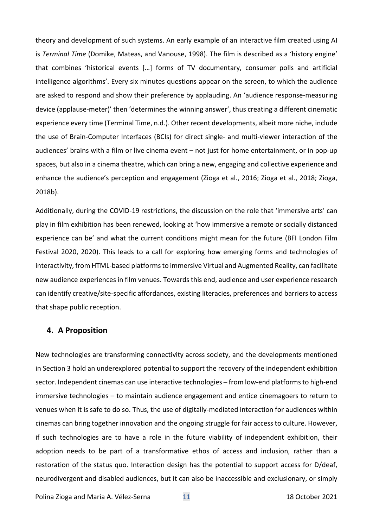theory and development of such systems. An early example of an interactive film created using AI is *Terminal Time* (Domike, Mateas, and Vanouse, 1998). The film is described as a 'history engine' that combines 'historical events […] forms of TV documentary, consumer polls and artificial intelligence algorithms'. Every six minutes questions appear on the screen, to which the audience are asked to respond and show their preference by applauding. An 'audience response-measuring device (applause-meter)' then 'determines the winning answer', thus creating a different cinematic experience every time (Terminal Time, n.d.). Other recent developments, albeit more niche, include the use of Brain-Computer Interfaces (BCIs) for direct single- and multi-viewer interaction of the audiences' brains with a film or live cinema event – not just for home entertainment, or in pop-up spaces, but also in a cinema theatre, which can bring a new, engaging and collective experience and enhance the audience's perception and engagement (Zioga et al., 2016; Zioga et al., 2018; Zioga, 2018b).

Additionally, during the COVID-19 restrictions, the discussion on the role that 'immersive arts' can play in film exhibition has been renewed, looking at 'how immersive a remote or socially distanced experience can be' and what the current conditions might mean for the future (BFI London Film Festival 2020, 2020). This leads to a call for exploring how emerging forms and technologies of interactivity, from HTML-based platforms to immersive Virtual and Augmented Reality, can facilitate new audience experiences in film venues. Towards this end, audience and user experience research can identify creative/site-specific affordances, existing literacies, preferences and barriers to access that shape public reception.

## **4. A Proposition**

New technologies are transforming connectivity across society, and the developments mentioned in Section 3 hold an underexplored potential to support the recovery of the independent exhibition sector. Independent cinemas can use interactive technologies – from low-end platforms to high-end immersive technologies – to maintain audience engagement and entice cinemagoers to return to venues when it is safe to do so. Thus, the use of digitally-mediated interaction for audiences within cinemas can bring together innovation and the ongoing struggle for fair access to culture. However, if such technologies are to have a role in the future viability of independent exhibition, their adoption needs to be part of a transformative ethos of access and inclusion, rather than a restoration of the status quo. Interaction design has the potential to support access for D/deaf, neurodivergent and disabled audiences, but it can also be inaccessible and exclusionary, or simply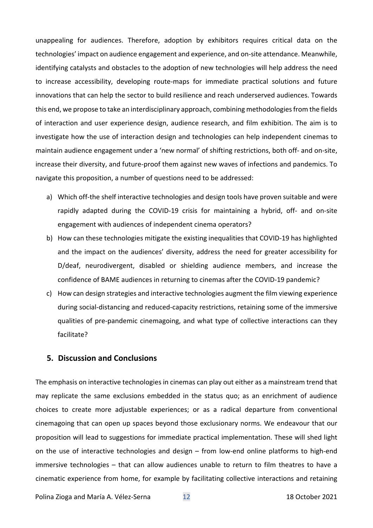unappealing for audiences. Therefore, adoption by exhibitors requires critical data on the technologies' impact on audience engagement and experience, and on-site attendance. Meanwhile, identifying catalysts and obstacles to the adoption of new technologies will help address the need to increase accessibility, developing route-maps for immediate practical solutions and future innovations that can help the sector to build resilience and reach underserved audiences. Towards this end, we propose to take an interdisciplinary approach, combining methodologies from the fields of interaction and user experience design, audience research, and film exhibition. The aim is to investigate how the use of interaction design and technologies can help independent cinemas to maintain audience engagement under a 'new normal' of shifting restrictions, both off- and on-site, increase their diversity, and future-proof them against new waves of infections and pandemics. To navigate this proposition, a number of questions need to be addressed:

- a) Which off-the shelf interactive technologies and design tools have proven suitable and were rapidly adapted during the COVID-19 crisis for maintaining a hybrid, off- and on-site engagement with audiences of independent cinema operators?
- b) How can these technologies mitigate the existing inequalities that COVID-19 has highlighted and the impact on the audiences' diversity, address the need for greater accessibility for D/deaf, neurodivergent, disabled or shielding audience members, and increase the confidence of BAME audiences in returning to cinemas after the COVID-19 pandemic?
- c) How can design strategies and interactive technologies augment the film viewing experience during social-distancing and reduced-capacity restrictions, retaining some of the immersive qualities of pre-pandemic cinemagoing, and what type of collective interactions can they facilitate?

## **5. Discussion and Conclusions**

The emphasis on interactive technologies in cinemas can play out either as a mainstream trend that may replicate the same exclusions embedded in the status quo; as an enrichment of audience choices to create more adjustable experiences; or as a radical departure from conventional cinemagoing that can open up spaces beyond those exclusionary norms. We endeavour that our proposition will lead to suggestions for immediate practical implementation. These will shed light on the use of interactive technologies and design – from low-end online platforms to high-end immersive technologies – that can allow audiences unable to return to film theatres to have a cinematic experience from home, for example by facilitating collective interactions and retaining

Polina Zioga and María A. Vélez-Serna 12 12 18 October 2021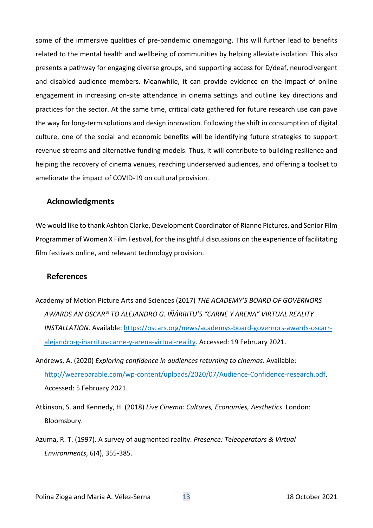some of the immersive qualities of pre-pandemic cinemagoing. This will further lead to benefits related to the mental health and wellbeing of communities by helping alleviate isolation. This also presents a pathway for engaging diverse groups, and supporting access for D/deaf, neurodivergent and disabled audience members. Meanwhile, it can provide evidence on the impact of online engagement in increasing on-site attendance in cinema settings and outline key directions and practices for the sector. At the same time, critical data gathered for future research use can pave the way for long-term solutions and design innovation. Following the shift in consumption of digital culture, one of the social and economic benefits will be identifying future strategies to support revenue streams and alternative funding models. Thus, it will contribute to building resilience and helping the recovery of cinema venues, reaching underserved audiences, and offering a toolset to ameliorate the impact of COVID-19 on cultural provision.

## **Acknowledgments**

We would like to thank Ashton Clarke, Development Coordinator of Rianne Pictures, and Senior Film Programmer of Women X Film Festival, for the insightful discussions on the experience of facilitating film festivals online, and relevant technology provision.

## **References**

- Academy of Motion Picture Arts and Sciences (2017) *THE ACADEMY'S BOARD OF GOVERNORS AWARDS AN OSCAR® TO ALEJANDRO G. IÑÁRRITU'S "CARNE Y ARENA" VIRTUAL REALITY INSTALLATION*. Available: [https://oscars.org/news/academys-board-governors-awards-oscarr](https://oscars.org/news/academys-board-governors-awards-oscarr-alejandro-g-inarritus-carne-y-arena-virtual-reality)[alejandro-g-inarritus-carne-y-arena-virtual-reality.](https://oscars.org/news/academys-board-governors-awards-oscarr-alejandro-g-inarritus-carne-y-arena-virtual-reality) Accessed: 19 February 2021.
- Andrews, A. (2020) *Exploring confidence in audiences returning to cinemas*. Available: [http://weareparable.com/wp-content/uploads/2020/07/Audience-Confidence-research.pdf.](http://weareparable.com/wp-content/uploads/2020/07/Audience-Confidence-research.pdf) Accessed: 5 February 2021.
- Atkinson, S. and Kennedy, H. (2018) *Live Cinema: Cultures, Economies, Aesthetics*. London: Bloomsbury.
- Azuma, R. T. (1997). A survey of augmented reality. *Presence: Teleoperators & Virtual Environments*, 6(4), 355-385.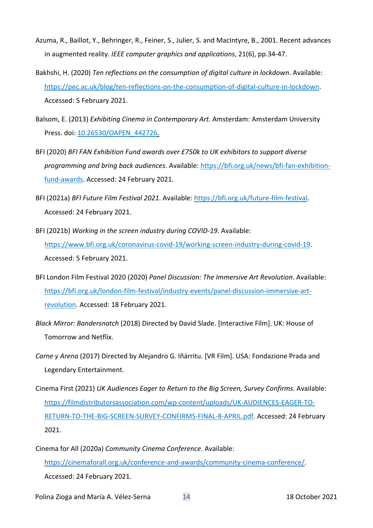- Azuma, R., Baillot, Y., Behringer, R., Feiner, S., Julier, S. and MacIntyre, B., 2001. Recent advances in augmented reality. *IEEE computer graphics and applications*, 21(6), pp.34-47.
- Bakhshi, H. (2020) *Ten reflections on the consumption of digital culture in lockdown*. Available: [https://pec.ac.uk/blog/ten-reflections-on-the-consumption-of-digital-culture-in-lockdown.](https://pec.ac.uk/blog/ten-reflections-on-the-consumption-of-digital-culture-in-lockdown) Accessed: 5 February 2021.
- Balsom, E. (2013) *Exhibiting Cinema in Contemporary Art*. Amsterdam: Amsterdam University Press. doi[: 10.26530/OAPEN\\_442726.](https://doi.org/10.26530/OAPEN_442726)
- BFI (2020) *BFI FAN Exhibition Fund awards over £750k to UK exhibitors to support diverse programming and bring back audiences*. Available: [https://bfi.org.uk/news/bfi-fan-exhibition](https://bfi.org.uk/news/bfi-fan-exhibition-fund-awards)[fund-awards.](https://bfi.org.uk/news/bfi-fan-exhibition-fund-awards) Accessed: 24 February 2021.
- BFI (2021a) *BFI Future Film Festival 2021*. Available: [https://bfi.org.uk/future-film-festival.](https://bfi.org.uk/future-film-festival) Accessed: 24 February 2021.
- BFI (2021b) *Working in the screen industry during COVID-19*. Available: [https://www.bfi.org.uk/coronavirus-covid-19/working-screen-industry-during-covid-19.](https://www.bfi.org.uk/coronavirus-covid-19/working-screen-industry-during-covid-19) Accessed: 5 February 2021.
- BFI London Film Festival 2020 (2020) *Panel Discussion: The Immersive Art Revolution*. Available: [https://bfi.org.uk/london-film-festival/industry-events/panel-discussion-immersive-art](https://bfi.org.uk/london-film-festival/industry-events/panel-discussion-immersive-art-revolution)[revolution.](https://bfi.org.uk/london-film-festival/industry-events/panel-discussion-immersive-art-revolution) Accessed: 18 February 2021.
- *Black Mirror: Bandersnatch* (2018) Directed by David Slade. [Interactive Film]. UK: House of Tomorrow and Netflix.
- *Carne y Arena* (2017) Directed by Alejandro G. Iñárritu. [VR Film]. USA: Fondazione Prada and Legendary Entertainment.
- Cinema First (2021) *UK Audiences Eager to Return to the Big Screen, Survey Confirms*. Available: [https://filmdistributorsassociation.com/wp-content/uploads/UK-AUDIENCES-EAGER-TO-](https://filmdistributorsassociation.com/wp-content/uploads/UK-AUDIENCES-EAGER-TO-RETURN-TO-THE-BIG-SCREEN-SURVEY-CONFIRMS-FINAL-8-APRIL.pdf)[RETURN-TO-THE-BIG-SCREEN-SURVEY-CONFIRMS-FINAL-8-APRIL.pdf.](https://filmdistributorsassociation.com/wp-content/uploads/UK-AUDIENCES-EAGER-TO-RETURN-TO-THE-BIG-SCREEN-SURVEY-CONFIRMS-FINAL-8-APRIL.pdf) Accessed: 24 February 2021.
- Cinema for All (2020a) *Community Cinema Conference*. Available: [https://cinemaforall.org.uk/conference-and-awards/community-cinema-conference/.](https://cinemaforall.org.uk/conference-and-awards/community-cinema-conference/) Accessed: 24 February 2021.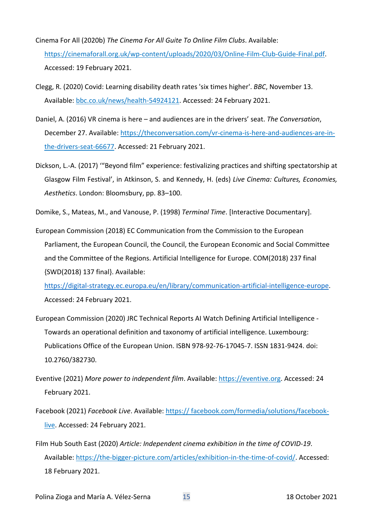- Cinema For All (2020b) *The Cinema For All Guite To Online Film Clubs*. Available: [https://cinemaforall.org.uk/wp-content/uploads/2020/03/Online-Film-Club-Guide-Final.pdf.](https://cinemaforall.org.uk/wp-content/uploads/2020/03/Online-Film-Club-Guide-Final.pdf) Accessed: 19 February 2021.
- Clegg, R. (2020) Covid: Learning disability death rates 'six times higher'. *BBC*, November 13. Available: [bbc.co.uk/news/health-54924121.](https://stir.sharepoint.com/sites/InteractiveFilmmakingLab-Interact.Des.forAudiences-BeyondtheMultiplex/Shared%20Documents/Interact.%20Des.%20for%20Audiences-Beyond%20the%20Multiplex/Conference-2021.03.02-Audiences_Beyond_the_Multiplex/bbc.co.uk/news/health-54924121) Accessed: 24 February 2021.
- Daniel, A. (2016) VR cinema is here and audiences are in the drivers' seat. *The Conversation*, December 27. Available: [https://theconversation.com/vr-cinema-is-here-and-audiences-are-in](https://theconversation.com/vr-cinema-is-here-and-audiences-are-in-the-drivers-seat-66677)[the-drivers-seat-66677.](https://theconversation.com/vr-cinema-is-here-and-audiences-are-in-the-drivers-seat-66677) Accessed: 21 February 2021.
- Dickson, L.-A. (2017) '"Beyond film" experience: festivalizing practices and shifting spectatorship at Glasgow Film Festival', in Atkinson, S. and Kennedy, H. (eds) *Live Cinema: Cultures, Economies, Aesthetics*. London: Bloomsbury, pp. 83–100.
- Domike, S., Mateas, M., and Vanouse, P. (1998) *Terminal Time*. [Interactive Documentary].

European Commission (2018) EC Communication from the Commission to the European Parliament, the European Council, the Council, the European Economic and Social Committee and the Committee of the Regions. Artificial Intelligence for Europe. COM(2018) 237 final {SWD(2018) 137 final}. Available:

[https://digital-strategy.ec.europa.eu/en/library/communication-artificial-intelligence-europe.](https://digital-strategy.ec.europa.eu/en/library/communication-artificial-intelligence-europe) Accessed: 24 February 2021.

- European Commission (2020) JRC Technical Reports AI Watch Defining Artificial Intelligence Towards an operational definition and taxonomy of artificial intelligence. Luxembourg: Publications Office of the European Union. ISBN 978-92-76-17045-7. ISSN 1831-9424. doi: 10.2760/382730.
- Eventive (2021) *More power to independent film*. Available: [https://eventive.org.](https://eventive.org/) Accessed: 24 February 2021.
- Facebook (2021) *Facebook Live*. Available: [https:// facebook.com/formedia/solutions/facebook](https://www.facebook.com/formedia/solutions/facebook-live)[live.](https://www.facebook.com/formedia/solutions/facebook-live) Accessed: 24 February 2021.
- Film Hub South East (2020) *Article: Independent cinema exhibition in the time of COVID-19*. Available: [https://the-bigger-picture.com/articles/exhibition-in-the-time-of-covid/.](https://the-bigger-picture.com/articles/exhibition-in-the-time-of-covid/) Accessed: 18 February 2021.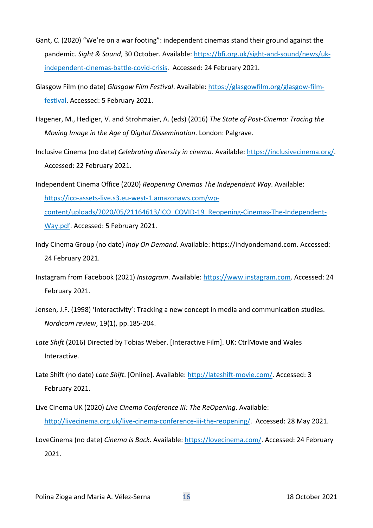- Gant, C. (2020) "We're on a war footing": independent cinemas stand their ground against the pandemic. *Sight & Sound*, 30 October. Available: [https://bfi.org.uk/sight-and-sound/news/uk](https://bfi.org.uk/sight-and-sound/news/uk-independent-cinemas-battle-covid-crisis)[independent-cinemas-battle-covid-crisis.](https://bfi.org.uk/sight-and-sound/news/uk-independent-cinemas-battle-covid-crisis) Accessed: 24 February 2021.
- Glasgow Film (no date) *Glasgow Film Festival*. Available: [https://glasgowfilm.org/glasgow-film](https://glasgowfilm.org/glasgow-film-festival)[festival.](https://glasgowfilm.org/glasgow-film-festival) Accessed: 5 February 2021.
- Hagener, M., Hediger, V. and Strohmaier, A. (eds) (2016) *The State of Post-Cinema: Tracing the Moving Image in the Age of Digital Dissemination*. London: Palgrave.
- Inclusive Cinema (no date) *Celebrating diversity in cinema*. Available: [https://inclusivecinema.org/.](https://inclusivecinema.org/) Accessed: 22 February 2021.
- Independent Cinema Office (2020) *Reopening Cinemas The Independent Way*. Available: [https://ico-assets-live.s3.eu-west-1.amazonaws.com/wp](https://ico-assets-live.s3.eu-west-1.amazonaws.com/wp-content/uploads/2020/05/21164613/ICO_COVID-19_Reopening-Cinemas-The-Independent-Way.pdf)[content/uploads/2020/05/21164613/ICO\\_COVID-19\\_Reopening-Cinemas-The-Independent-](https://ico-assets-live.s3.eu-west-1.amazonaws.com/wp-content/uploads/2020/05/21164613/ICO_COVID-19_Reopening-Cinemas-The-Independent-Way.pdf)[Way.pdf.](https://ico-assets-live.s3.eu-west-1.amazonaws.com/wp-content/uploads/2020/05/21164613/ICO_COVID-19_Reopening-Cinemas-The-Independent-Way.pdf) Accessed: 5 February 2021.
- Indy Cinema Group (no date) *Indy On Demand*. Available: [https://indyondemand.com.](https://indyondemand.com/) Accessed: 24 February 2021.
- Instagram from Facebook (2021) *Instagram*. Available: [https://www.instagram.com.](https://www.instagram.com/) Accessed: 24 February 2021.
- Jensen, J.F. (1998) 'Interactivity': Tracking a new concept in media and communication studies. *Nordicom review*, 19(1), pp.185-204.
- *Late Shift* (2016) Directed by Tobias Weber. [Interactive Film]. UK: CtrlMovie and Wales Interactive.
- Late Shift (no date) *Late Shift*. [Online]. Available: [http://lateshift-movie.com/.](http://lateshift-movie.com/) Accessed: 3 February 2021.
- Live Cinema UK (2020) *Live Cinema Conference III: The ReOpening*. Available: [http://livecinema.org.uk/live-cinema-conference-iii-the-reopening/.](http://livecinema.org.uk/live-cinema-conference-iii-the-reopening/) Accessed: 28 May 2021.
- LoveCinema (no date) *Cinema is Back*. Available: [https://lovecinema.com/.](https://lovecinema.com/) Accessed: 24 February 2021.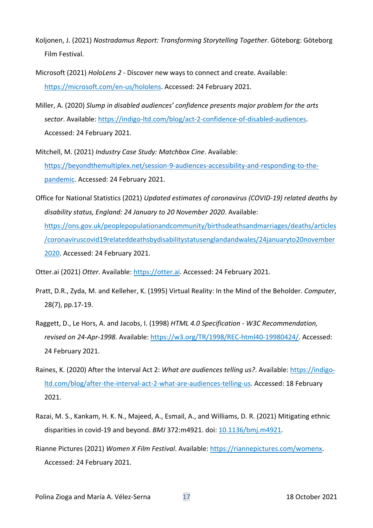- Koljonen, J. (2021) *Nostradamus Report: Transforming Storytelling Together*. Göteborg: Göteborg Film Festival.
- Microsoft (2021) *HoloLens 2* Discover new ways to connect and create. Available: [https://microsoft.com/en-us/hololens.](https://microsoft.com/en-us/hololens) Accessed: 24 February 2021.
- Miller, A. (2020) *Slump in disabled audiences' confidence presents major problem for the arts sector*. Available: [https://indigo-ltd.com/blog/act-2-confidence-of-disabled-audiences.](https://indigo-ltd.com/blog/act-2-confidence-of-disabled-audiences) Accessed: 24 February 2021.
- Mitchell, M. (2021) *Industry Case Study: Matchbox Cine*. Available: [https://beyondthemultiplex.net/session-9-audiences-accessibility-and-responding-to-the](https://beyondthemultiplex.net/session-9-audiences-accessibility-and-responding-to-the-pandemic)[pandemic.](https://beyondthemultiplex.net/session-9-audiences-accessibility-and-responding-to-the-pandemic) Accessed: 24 February 2021.
- Office for National Statistics (2021) *Updated estimates of coronavirus (COVID-19) related deaths by disability status, England: 24 January to 20 November 2020*. Available: [https://ons.gov.uk/peoplepopulationandcommunity/birthsdeathsandmarriages/deaths/articles](https://ons.gov.uk/peoplepopulationandcommunity/birthsdeathsandmarriages/deaths/articles/coronaviruscovid19relateddeathsbydisabilitystatusenglandandwales/24januaryto20november2020) [/coronaviruscovid19relateddeathsbydisabilitystatusenglandandwales/24januaryto20november](https://ons.gov.uk/peoplepopulationandcommunity/birthsdeathsandmarriages/deaths/articles/coronaviruscovid19relateddeathsbydisabilitystatusenglandandwales/24januaryto20november2020) [2020.](https://ons.gov.uk/peoplepopulationandcommunity/birthsdeathsandmarriages/deaths/articles/coronaviruscovid19relateddeathsbydisabilitystatusenglandandwales/24januaryto20november2020) Accessed: 24 February 2021.

Otter.ai (2021) *Otter*. Available: [https://otter.ai.](https://otter.ai/) Accessed: 24 February 2021.

- Pratt, D.R., Zyda, M. and Kelleher, K. (1995) Virtual Reality: In the Mind of the Beholder. *Computer*, 28(7), pp.17-19.
- Raggett, D., Le Hors, A. and Jacobs, I. (1998) *HTML 4.0 Specification - W3C Recommendation, revised on 24-Apr-1998*. Available: [https://w3.org/TR/1998/REC-html40-19980424/.](https://w3.org/TR/1998/REC-html40-19980424/) Accessed: 24 February 2021.
- Raines, K. (2020) After the Interval Act 2: *What are audiences telling us?*. Available: [https://indigo](https://indigo-ltd.com/blog/after-the-interval-act-2-what-are-audiences-telling-us)[ltd.com/blog/after-the-interval-act-2-what-are-audiences-telling-us.](https://indigo-ltd.com/blog/after-the-interval-act-2-what-are-audiences-telling-us) Accessed: 18 February 2021.
- Razai, M. S., Kankam, H. K. N., Majeed, A., Esmail, A., and Williams, D. R. (2021) Mitigating ethnic disparities in covid-19 and beyond. *BMJ* 372:m4921. doi: [10.1136/bmj.m4921.](https://doi.org/10.1136/bmj.m4921)
- Rianne Pictures (2021) *Women X Film Festival*. Available: [https://riannepictures.com/womenx.](https://riannepictures.com/womenx) Accessed: 24 February 2021.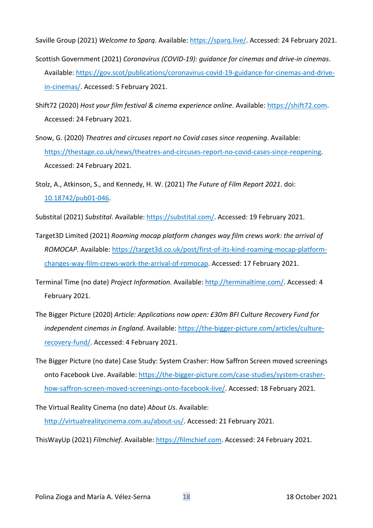Saville Group (2021) *Welcome to Sparq*. Available: [https://sparq.live/.](https://sparq.live/) Accessed: 24 February 2021.

- Scottish Government (2021) *Coronavirus (COVID-19): guidance for cinemas and drive-in cinemas*. Available: [https://gov.scot/publications/coronavirus-covid-19-guidance-for-cinemas-and-drive](https://gov.scot/publications/coronavirus-covid-19-guidance-for-cinemas-and-drive-in-cinemas/)[in-cinemas/.](https://gov.scot/publications/coronavirus-covid-19-guidance-for-cinemas-and-drive-in-cinemas/) Accessed: 5 February 2021.
- Shift72 (2020) *Host your film festival & cinema experience online*. Available: [https://shift72.com.](https://shift72.com/) Accessed: 24 February 2021.
- Snow, G. (2020) *Theatres and circuses report no Covid cases since reopening*. Available: [https://thestage.co.uk/news/theatres-and-circuses-report-no-covid-cases-since-reopening.](https://thestage.co.uk/news/theatres-and-circuses-report-no-covid-cases-since-reopening) Accessed: 24 February 2021.
- Stolz, A., Atkinson, S., and Kennedy, H. W. (2021) *The Future of Film Report 2021*. doi: [10.18742/pub01-046.](https://doi.org/doi:10.18742/pub01-046)

Substital (2021) *Substital*. Available: [https://substital.com/.](https://substital.com/) Accessed: 19 February 2021.

- Target3D Limited (2021) *Roaming mocap platform changes way film crews work: the arrival of ROMOCAP*. Available: [https://target3d.co.uk/post/first-of-its-kind-roaming-mocap-platform](https://target3d.co.uk/post/first-of-its-kind-roaming-mocap-platform-changes-way-film-crews-work-the-arrival-of-romocap)[changes-way-film-crews-work-the-arrival-of-romocap.](https://target3d.co.uk/post/first-of-its-kind-roaming-mocap-platform-changes-way-film-crews-work-the-arrival-of-romocap) Accessed: 17 February 2021.
- Terminal Time (no date) *Project Information*. Available: [http://terminaltime.com/.](http://terminaltime.com/) Accessed: 4 February 2021.
- The Bigger Picture (2020) *Article: Applications now open: £30m BFI Culture Recovery Fund for independent cinemas in England*. Available: [https://the-bigger-picture.com/articles/culture](https://the-bigger-picture.com/articles/culture-recovery-fund/)[recovery-fund/.](https://the-bigger-picture.com/articles/culture-recovery-fund/) Accessed: 4 February 2021.
- The Bigger Picture (no date) Case Study: System Crasher: How Saffron Screen moved screenings onto Facebook Live. Available: [https://the-bigger-picture.com/case-studies/system-crasher](https://the-bigger-picture.com/case-studies/system-crasher-how-saffron-screen-moved-screenings-onto-facebook-live/)[how-saffron-screen-moved-screenings-onto-facebook-live/.](https://the-bigger-picture.com/case-studies/system-crasher-how-saffron-screen-moved-screenings-onto-facebook-live/) Accessed: 18 February 2021.
- The Virtual Reality Cinema (no date) *About Us*. Available: [http://virtualrealitycinema.com.au/about-us/.](http://virtualrealitycinema.com.au/about-us/) Accessed: 21 February 2021.
- ThisWayUp (2021) *Filmchief*. Available: [https://filmchief.com.](https://filmchief.com/) Accessed: 24 February 2021.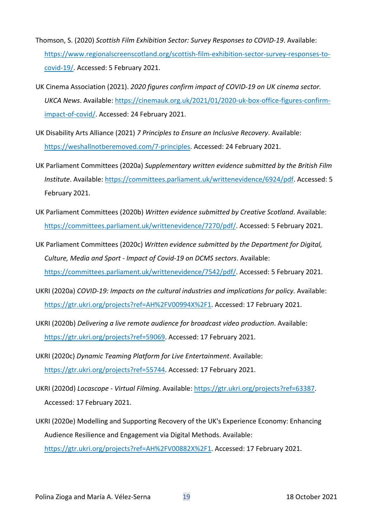- Thomson, S. (2020) *Scottish Film Exhibition Sector: Survey Responses to COVID-19*. Available: [https://www.regionalscreenscotland.org/scottish-film-exhibition-sector-survey-responses-to](https://www.regionalscreenscotland.org/scottish-film-exhibition-sector-survey-responses-to-covid-19/)[covid-19/.](https://www.regionalscreenscotland.org/scottish-film-exhibition-sector-survey-responses-to-covid-19/) Accessed: 5 February 2021.
- UK Cinema Association (2021). *2020 figures confirm impact of COVID-19 on UK cinema sector. UKCA News*. Available: [https://cinemauk.org.uk/2021/01/2020-uk-box-office-figures-confirm](https://cinemauk.org.uk/2021/01/2020-uk-box-office-figures-confirm-impact-of-covid/)[impact-of-covid/.](https://cinemauk.org.uk/2021/01/2020-uk-box-office-figures-confirm-impact-of-covid/) Accessed: 24 February 2021.
- UK Disability Arts Alliance (2021) *7 Principles to Ensure an Inclusive Recovery*. Available: [https://weshallnotberemoved.com/7-principles.](https://weshallnotberemoved.com/7-principles) Accessed: 24 February 2021.
- UK Parliament Committees (2020a) *Supplementary written evidence submitted by the British Film Institute*. Available: [https://committees.parliament.uk/writtenevidence/6924/pdf.](https://committees.parliament.uk/writtenevidence/6924/pdf) Accessed: 5 February 2021.
- UK Parliament Committees (2020b) *Written evidence submitted by Creative Scotland*. Available: [https://committees.parliament.uk/writtenevidence/7270/pdf/.](https://committees.parliament.uk/writtenevidence/7270/pdf/) Accessed: 5 February 2021.
- UK Parliament Committees (2020c) *Written evidence submitted by the Department for Digital, Culture, Media and Sport - Impact of Covid-19 on DCMS sectors*. Available: [https://committees.parliament.uk/writtenevidence/7542/pdf/.](https://committees.parliament.uk/writtenevidence/7542/pdf/) Accessed: 5 February 2021.
- UKRI (2020a) *COVID-19: Impacts on the cultural industries and implications for policy*. Available: [https://gtr.ukri.org/projects?ref=AH%2FV00994X%2F1.](https://gtr.ukri.org/projects?ref=AH%2FV00994X%2F1) Accessed: 17 February 2021.
- UKRI (2020b) *Delivering a live remote audience for broadcast video production*. Available: [https://gtr.ukri.org/projects?ref=59069.](https://gtr.ukri.org/projects?ref=59069) Accessed: 17 February 2021.
- UKRI (2020c) *Dynamic Teaming Platform for Live Entertainment*. Available: [https://gtr.ukri.org/projects?ref=55744.](https://gtr.ukri.org/projects?ref=55744) Accessed: 17 February 2021.
- UKRI (2020d) *Locascope - Virtual Filming*. Available: [https://gtr.ukri.org/projects?ref=63387.](https://gtr.ukri.org/projects?ref=63387) Accessed: 17 February 2021.
- UKRI (2020e) Modelling and Supporting Recovery of the UK's Experience Economy: Enhancing Audience Resilience and Engagement via Digital Methods. Available: [https://gtr.ukri.org/projects?ref=AH%2FV00882X%2F1.](https://gtr.ukri.org/projects?ref=AH%2FV00882X%2F1) Accessed: 17 February 2021.